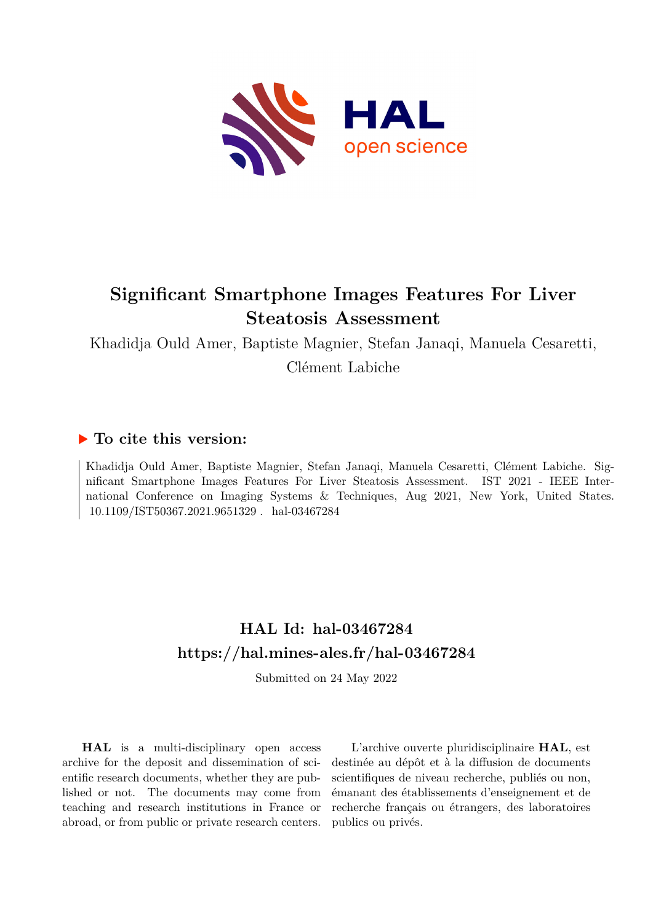

## **Significant Smartphone Images Features For Liver Steatosis Assessment**

Khadidja Ould Amer, Baptiste Magnier, Stefan Janaqi, Manuela Cesaretti, Clément Labiche

### **To cite this version:**

Khadidja Ould Amer, Baptiste Magnier, Stefan Janaqi, Manuela Cesaretti, Clément Labiche. Significant Smartphone Images Features For Liver Steatosis Assessment. IST 2021 - IEEE International Conference on Imaging Systems & Techniques, Aug 2021, New York, United States. 10.1109/IST50367.2021.9651329. hal-03467284

## **HAL Id: hal-03467284 <https://hal.mines-ales.fr/hal-03467284>**

Submitted on 24 May 2022

**HAL** is a multi-disciplinary open access archive for the deposit and dissemination of scientific research documents, whether they are published or not. The documents may come from teaching and research institutions in France or abroad, or from public or private research centers.

L'archive ouverte pluridisciplinaire **HAL**, est destinée au dépôt et à la diffusion de documents scientifiques de niveau recherche, publiés ou non, émanant des établissements d'enseignement et de recherche français ou étrangers, des laboratoires publics ou privés.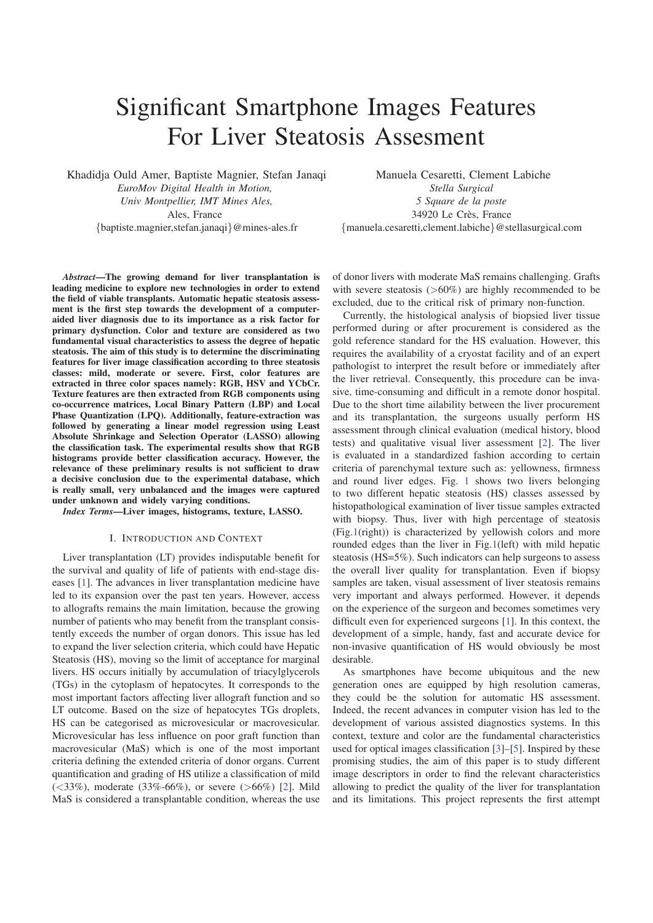# Significant Smartphone Images Features For Liver Steatosis Assesment

Khadidja Ould Amer, Baptiste Magnier, Stefan Janaqi *EuroMov Digital Health in Motion, Univ Montpellier, IMT Mines Ales,* Ales, France {baptiste.magnier,stefan.janaqi}@mines-ales.fr

Manuela Cesaretti, Clement Labiche *Stella Surgical 5 Square de la poste* 34920 Le Crès, France {manuela.cesaretti,clement.labiche}@stellasurgical.com

*Abstract*—The growing demand for liver transplantation is leading medicine to explore new technologies in order to extend the field of viable transplants. Automatic hepatic steatosis assessment is the first step towards the development of a computeraided liver diagnosis due to its importance as a risk factor for primary dysfunction. Color and texture are considered as two fundamental visual characteristics to assess the degree of hepatic steatosis. The aim of this study is to determine the discriminating features for liver image classification according to three steatosis classes: mild, moderate or severe. First, color features are extracted in three color spaces namely: RGB, HSV and YCbCr. Texture features are then extracted from RGB components using co-occurrence matrices, Local Binary Pattern (LBP) and Local Phase Quantization (LPQ). Additionally, feature-extraction was followed by generating a linear model regression using Least Absolute Shrinkage and Selection Operator (LASSO) allowing the classification task. The experimental results show that RGB histograms provide better classification accuracy. However, the relevance of these preliminary results is not sufficient to draw a decisive conclusion due to the experimental database, which is really small, very unbalanced and the images were captured under unknown and widely varying conditions.

*Index Terms*—Liver images, histograms, texture, LASSO.

#### I. INTRODUCTION AND CONTEXT

Liver transplantation (LT) provides indisputable benefit for the survival and quality of life of patients with end-stage diseases [1]. The advances in liver transplantation medicine have led to its expansion over the past ten years. However, access to allografts remains the main limitation, because the growing number of patients who may benefit from the transplant consistently exceeds the number of organ donors. This issue has led to expand the liver selection criteria, which could have Hepatic Steatosis (HS), moving so the limit of acceptance for marginal livers. HS occurs initially by accumulation of triacylglycerols (TGs) in the cytoplasm of hepatocytes. It corresponds to the most important factors affecting liver allograft function and so LT outcome. Based on the size of hepatocytes TGs droplets, HS can be categorised as microvesicular or macrovesicular. Microvesicular has less influence on poor graft function than macrovesicular (MaS) which is one of the most important criteria defining the extended criteria of donor organs. Current quantification and grading of HS utilize a classification of mild  $(<33\%)$ , moderate  $(33\% - 66\%)$ , or severe  $(>66\%)$  [2]. Mild MaS is considered a transplantable condition, whereas the use

of donor livers with moderate MaS remains challenging. Grafts with severe steatosis  $(>60\%)$  are highly recommended to be excluded, due to the critical risk of primary non-function.

Currently, the histological analysis of biopsied liver tissue performed during or after procurement is considered as the gold reference standard for the HS evaluation. However, this requires the availability of a cryostat facility and of an expert pathologist to interpret the result before or immediately after the liver retrieval. Consequently, this procedure can be invasive, time-consuming and difficult in a remote donor hospital. Due to the short time ailability between the liver procurement and its transplantation, the surgeons usually perform HS assessment through clinical evaluation (medical history, blood tests) and qualitative visual liver assessment [2]. The liver is evaluated in a standardized fashion according to certain criteria of parenchymal texture such as: yellowness, firmness and round liver edges. Fig. 1 shows two livers belonging to two different hepatic steatosis (HS) classes assessed by histopathological examination of liver tissue samples extracted with biopsy. Thus, liver with high percentage of steatosis (Fig.1(right)) is characterized by yellowish colors and more rounded edges than the liver in Fig.1(left) with mild hepatic steatosis (HS=5%). Such indicators can help surgeons to assess the overall liver quality for transplantation. Even if biopsy samples are taken, visual assessment of liver steatosis remains very important and always performed. However, it depends on the experience of the surgeon and becomes sometimes very difficult even for experienced surgeons [1]. In this context, the development of a simple, handy, fast and accurate device for non-invasive quantification of HS would obviously be most desirable.

As smartphones have become ubiquitous and the new generation ones are equipped by high resolution cameras, they could be the solution for automatic HS assessment. Indeed, the recent advances in computer vision has led to the development of various assisted diagnostics systems. In this context, texture and color are the fundamental characteristics used for optical images classification [3]–[5]. Inspired by these promising studies, the aim of this paper is to study different image descriptors in order to find the relevant characteristics allowing to predict the quality of the liver for transplantation and its limitations. This project represents the first attempt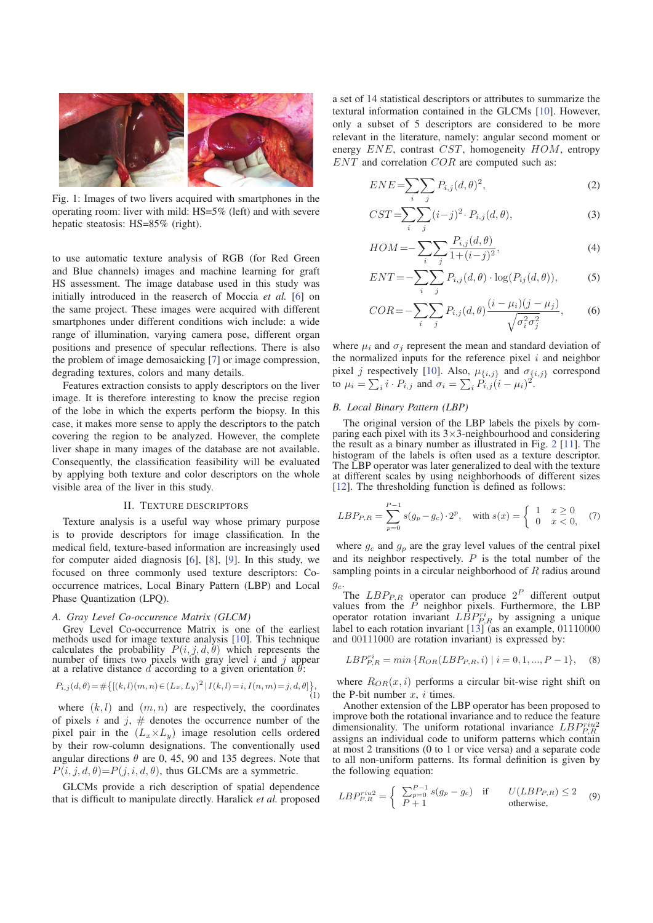

Fig. 1: Images of two livers acquired with smartphones in the operating room: liver with mild: HS=5% (left) and with severe hepatic steatosis: HS=85% (right).

to use automatic texture analysis of RGB (for Red Green and Blue channels) images and machine learning for graft HS assessment. The image database used in this study was initially introduced in the reaserch of Moccia *et al.* [6] on the same project. These images were acquired with different smartphones under different conditions wich include: a wide range of illumination, varying camera pose, different organ positions and presence of specular reflections. There is also the problem of image demosaicking [7] or image compression, degrading textures, colors and many details.

Features extraction consists to apply descriptors on the liver image. It is therefore interesting to know the precise region of the lobe in which the experts perform the biopsy. In this case, it makes more sense to apply the descriptors to the patch covering the region to be analyzed. However, the complete liver shape in many images of the database are not available. Consequently, the classification feasibility will be evaluated by applying both texture and color descriptors on the whole visible area of the liver in this study.

#### II. TEXTURE DESCRIPTORS

Texture analysis is a useful way whose primary purpose is to provide descriptors for image classification. In the medical field, texture-based information are increasingly used for computer aided diagnosis [6], [8], [9]. In this study, we focused on three commonly used texture descriptors: Cooccurrence matrices, Local Binary Pattern (LBP) and Local Phase Quantization (LPQ).

#### *A. Gray Level Co-occurence Matrix (GLCM)*

Grey Level Co-occurrence Matrix is one of the earliest methods used for image texture analysis [10]. This technique calculates the probability  $P(i, j, d, \theta)$  which represents the number of times two pixels with gray level i and j appear at a relative distance d according to a given orientation  $\theta$ :

$$
P_{i,j}(d,\theta) = \# \big\{ [(k,l)(m,n) \in (L_x, L_y)^2 | I(k,l) = i, I(n,m) = j, d, \theta] \big\},\tag{1}
$$

where  $(k, l)$  and  $(m, n)$  are respectively, the coordinates of pixels  $i$  and  $j$ ,  $\#$  denotes the occurrence number of the pixel pair in the  $(L_x \times L_y)$  image resolution cells ordered by their row-column designations. The conventionally used angular directions  $\theta$  are 0, 45, 90 and 135 degrees. Note that  $P(i, j, d, \theta) = P(j, i, d, \theta)$ , thus GLCMs are a symmetric.

GLCMs provide a rich description of spatial dependence that is difficult to manipulate directly. Haralick *et al.* proposed

a set of 14 statistical descriptors or attributes to summarize the textural information contained in the GLCMs [10]. However, only a subset of 5 descriptors are considered to be more relevant in the literature, namely: angular second moment or energy ENE, contrast CST, homogeneity HOM, entropy ENT and correlation COR are computed such as:

$$
ENE = \sum_{i} \sum_{j} P_{i,j} (d, \theta)^2,
$$
\n(2)

$$
CST = \sum_{i} \sum_{j} (i-j)^2 \cdot P_{i,j}(d,\theta),\tag{3}
$$

$$
HOM = -\sum_{i} \sum_{j} \frac{P_{i,j}(d,\theta)}{1 + (i - j)^2},\tag{4}
$$

$$
ENT = -\sum_{i} \sum_{j} P_{i,j}(d,\theta) \cdot \log(P_{ij}(d,\theta)),
$$
 (5)

$$
COR = -\sum_{i} \sum_{j} P_{i,j}(d,\theta) \frac{(i - \mu_i)(j - \mu_j)}{\sqrt{\sigma_i^2 \sigma_j^2}},
$$
 (6)

where  $\mu_i$  and  $\sigma_j$  represent the mean and standard deviation of the normalized inputs for the reference pixel  $i$  and neighbor pixel *j* respectively [10]. Also,  $\mu_{\{i,j\}}$  and  $\sigma_{\{i,j\}}$  correspond to  $\mu_i = \sum_i i \cdot P_{i,j}$  and  $\sigma_i = \sum_i P_{i,j} (i - \mu_i)^2$ .

#### *B. Local Binary Pattern (LBP)*

The original version of the LBP labels the pixels by comparing each pixel with its  $3 \times 3$ -neighbourhood and considering the result as a binary number as illustrated in Fig. 2 [11]. The histogram of the labels is often used as a texture descriptor. The LBP operator was later generalized to deal with the texture at different scales by using neighborhoods of different sizes [12]. The thresholding function is defined as follows:

$$
LBP_{P,R} = \sum_{p=0}^{P-1} s(g_p - g_c) \cdot 2^p, \quad \text{with } s(x) = \begin{cases} 1 & x \ge 0 \\ 0 & x < 0, \end{cases} \tag{7}
$$

where  $g_c$  and  $g_p$  are the gray level values of the central pixel and its neighbor respectively.  $P$  is the total number of the sampling points in a circular neighborhood of R radius around

 $g_c$ .<br>The  $LBP_{P,R}$  operator can produce  $2^P$  different output values from the  $P$  neighbor pixels. Furthermore, the LBP operator rotation invariant  $LBP_{R,R}^{ri}$  by assigning a unique label to each rotation invariant [13] (as an example, 01110000 and 00111000 are rotation invariant) is expressed by: and 00111000 are rotation invariant) is expressed by:

$$
LBP_{P,R}^{ri} = min\{R_{OR}(LBP_{P,R}, i) \mid i = 0, 1, ..., P - 1\},\tag{8}
$$

where  $R_{OR}(x, i)$  performs a circular bit-wise right shift on the P-bit number  $x$ ,  $i$  times.

Another extension of the LBP operator has been proposed to improve both the rotational invariance and to reduce the feature dimensionality. The uniform rotational invariance  $LBP_{PR}^{riu2}$ assigns an individual code to uniform patterns which contain at most 2 transitions (0 to 1 or vice versa) and a separate code to all non-uniform patterns. Its formal definition is given by the following equation:

$$
LBP_{P,R}^{riu2} = \begin{cases} \sum_{p=0}^{P-1} s(g_p - g_c) & \text{if} & U(LBP_{P,R}) \le 2\\ P+1 & \text{otherwise,} \end{cases}
$$
 (9)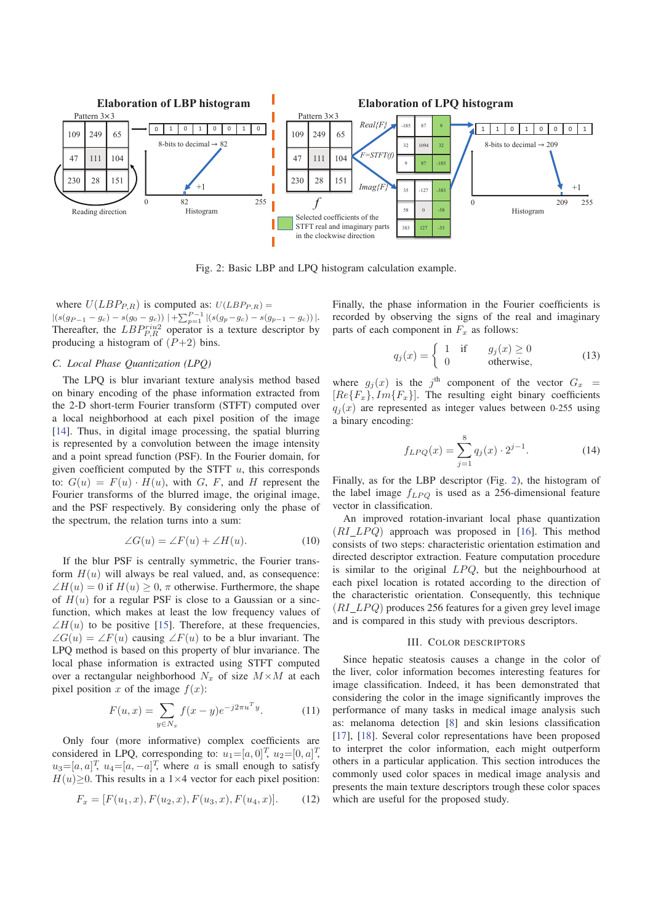

Fig. 2: Basic LBP and LPQ histogram calculation example.

where  $U(LBP_{P,R})$  is computed as:  $U(LBP_{P,R}) =$  $|(s(g_{P-1} - g_c) - s(g_0 - g_c))| + \sum_{p=1}^{P-1} |(s(g_p - g_c) - s(g_{p-1} - g_c))|$ . Thereafter, the  $LBP_{PR}^{riu2}$  operator is a texture descriptor by producing a histogram of  $(P+2)$  bins.

#### *C. Local Phase Quantization (LPQ)*

The LPQ is blur invariant texture analysis method based on binary encoding of the phase information extracted from the 2-D short-term Fourier transform (STFT) computed over a local neighborhood at each pixel position of the image [14]. Thus, in digital image processing, the spatial blurring is represented by a convolution between the image intensity and a point spread function (PSF). In the Fourier domain, for given coefficient computed by the STFT  $u$ , this corresponds to:  $G(u) = F(u) \cdot H(u)$ , with G, F, and H represent the Fourier transforms of the blurred image, the original image, and the PSF respectively. By considering only the phase of the spectrum, the relation turns into a sum:

$$
\angle G(u) = \angle F(u) + \angle H(u). \tag{10}
$$

If the blur PSF is centrally symmetric, the Fourier transform  $H(u)$  will always be real valued, and, as consequence:  $\angle H(u)=0$  if  $H(u) \geq 0$ ,  $\pi$  otherwise. Furthermore, the shape of  $H(u)$  for a regular PSF is close to a Gaussian or a sincfunction, which makes at least the low frequency values of  $\angle H(u)$  to be positive [15]. Therefore, at these frequencies,  $\angle G(u) = \angle F(u)$  causing  $\angle F(u)$  to be a blur invariant. The LPQ method is based on this property of blur invariance. The local phase information is extracted using STFT computed over a rectangular neighborhood  $N_x$  of size  $M \times M$  at each pixel position x of the image  $f(x)$ :

$$
F(u,x) = \sum_{y \in N_x} f(x-y)e^{-j2\pi u^T y}.
$$
 (11)

Only four (more informative) complex coefficients are considered in LPQ, corresponding to:  $u_1=[a, 0]^T$ ,  $u_2=[0, a]^T$ ,<br> $u_3=[a, a]^T$ ,  $u_4=[a, -a]^T$ , where a is small enough to satisfy  $u_3=[a, a]^T$ ,  $u_4=[a, -a]^T$ , where a is small enough to satisfy<br> $H(u) > 0$ . This results in a  $1 \times 4$  vector for each nivel position:  $H(u) \geq 0$ . This results in a 1×4 vector for each pixel position:

$$
F_x = [F(u_1, x), F(u_2, x), F(u_3, x), F(u_4, x)].
$$
 (12)

Finally, the phase information in the Fourier coefficients is recorded by observing the signs of the real and imaginary parts of each component in  $F_x$  as follows:

$$
q_j(x) = \begin{cases} 1 & \text{if } g_j(x) \ge 0\\ 0 & \text{otherwise,} \end{cases}
$$
 (13)

where  $g_j(x)$  is the j<sup>th</sup> component of the vector  $G_x$  =  $[Re{F_x}], Im{F_x}]$ . The resulting eight binary coefficients  $q_i(x)$  are represented as integer values between 0-255 using a binary encoding:

$$
f_{LPQ}(x) = \sum_{j=1}^{8} q_j(x) \cdot 2^{j-1}.
$$
 (14)

Finally, as for the LBP descriptor (Fig. 2), the histogram of the label image  $f_{LPQ}$  is used as a 256-dimensional feature vector in classification.

An improved rotation-invariant local phase quantization  $(RI_{L}PQ)$  approach was proposed in [16]. This method consists of two steps: characteristic orientation estimation and directed descriptor extraction. Feature computation procedure is similar to the original  $LPQ$ , but the neighbourhood at each pixel location is rotated according to the direction of the characteristic orientation. Consequently, this technique  $(RI LPO)$  produces 256 features for a given grey level image and is compared in this study with previous descriptors.

#### III. COLOR DESCRIPTORS

Since hepatic steatosis causes a change in the color of the liver, color information becomes interesting features for image classification. Indeed, it has been demonstrated that considering the color in the image significantly improves the performance of many tasks in medical image analysis such as: melanoma detection [8] and skin lesions classification [17], [18]. Several color representations have been proposed to interpret the color information, each might outperform others in a particular application. This section introduces the commonly used color spaces in medical image analysis and presents the main texture descriptors trough these color spaces which are useful for the proposed study.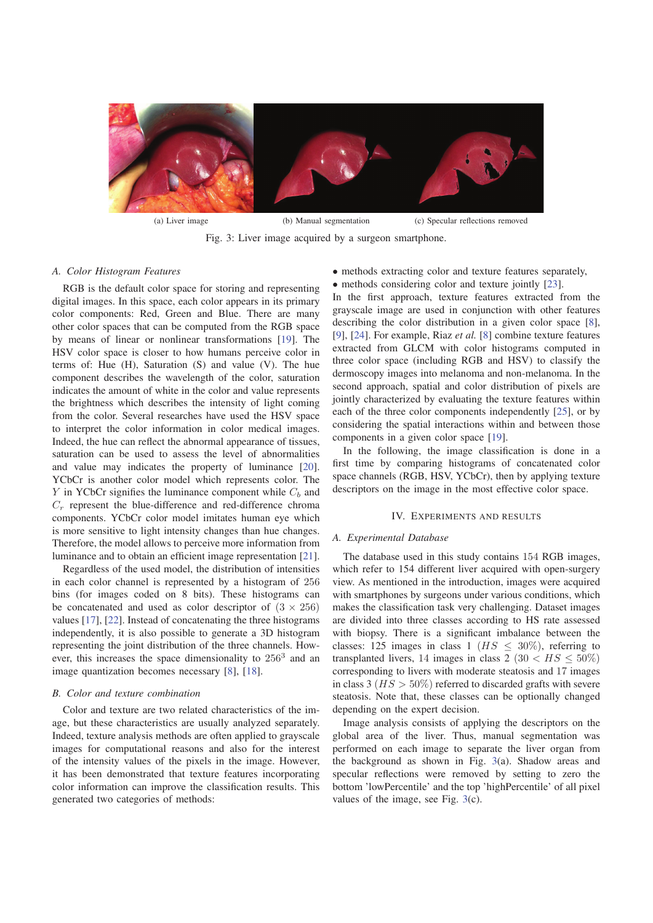

Fig. 3: Liver image acquired by a surgeon smartphone.

#### *A. Color Histogram Features*

RGB is the default color space for storing and representing digital images. In this space, each color appears in its primary color components: Red, Green and Blue. There are many other color spaces that can be computed from the RGB space by means of linear or nonlinear transformations [19]. The HSV color space is closer to how humans perceive color in terms of: Hue (H), Saturation (S) and value (V). The hue component describes the wavelength of the color, saturation indicates the amount of white in the color and value represents the brightness which describes the intensity of light coming from the color. Several researches have used the HSV space to interpret the color information in color medical images. Indeed, the hue can reflect the abnormal appearance of tissues, saturation can be used to assess the level of abnormalities and value may indicates the property of luminance [20]. YCbCr is another color model which represents color. The  $Y$  in YCbCr signifies the luminance component while  $C_b$  and  $C_r$  represent the blue-difference and red-difference chroma components. YCbCr color model imitates human eye which is more sensitive to light intensity changes than hue changes. Therefore, the model allows to perceive more information from luminance and to obtain an efficient image representation [21].

Regardless of the used model, the distribution of intensities in each color channel is represented by a histogram of 256 bins (for images coded on 8 bits). These histograms can be concatenated and used as color descriptor of  $(3 \times 256)$ values [17], [22]. Instead of concatenating the three histograms independently, it is also possible to generate a 3D histogram representing the joint distribution of the three channels. However, this increases the space dimensionality to  $256<sup>3</sup>$  and an image quantization becomes necessary [8], [18].

#### *B. Color and texture combination*

Color and texture are two related characteristics of the image, but these characteristics are usually analyzed separately. Indeed, texture analysis methods are often applied to grayscale images for computational reasons and also for the interest of the intensity values of the pixels in the image. However, it has been demonstrated that texture features incorporating color information can improve the classification results. This generated two categories of methods:

• methods extracting color and texture features separately,

• methods considering color and texture jointly [23]. In the first approach, texture features extracted from the grayscale image are used in conjunction with other features describing the color distribution in a given color space [8], [9], [24]. For example, Riaz *et al.* [8] combine texture features extracted from GLCM with color histograms computed in three color space (including RGB and HSV) to classify the dermoscopy images into melanoma and non-melanoma. In the second approach, spatial and color distribution of pixels are jointly characterized by evaluating the texture features within each of the three color components independently [25], or by considering the spatial interactions within and between those components in a given color space [19].

In the following, the image classification is done in a first time by comparing histograms of concatenated color space channels (RGB, HSV, YCbCr), then by applying texture descriptors on the image in the most effective color space.

#### IV. EXPERIMENTS AND RESULTS

#### *A. Experimental Database*

The database used in this study contains 154 RGB images, which refer to 154 different liver acquired with open-surgery view. As mentioned in the introduction, images were acquired with smartphones by surgeons under various conditions, which makes the classification task very challenging. Dataset images are divided into three classes according to HS rate assessed with biopsy. There is a significant imbalance between the classes: 125 images in class 1 ( $HS < 30\%$ ), referring to transplanted livers, 14 images in class 2 (30  $\lt$  HS  $\lt$  50%) corresponding to livers with moderate steatosis and 17 images in class 3 ( $HS > 50\%$ ) referred to discarded grafts with severe steatosis. Note that, these classes can be optionally changed depending on the expert decision.

Image analysis consists of applying the descriptors on the global area of the liver. Thus, manual segmentation was performed on each image to separate the liver organ from the background as shown in Fig. 3(a). Shadow areas and specular reflections were removed by setting to zero the bottom 'lowPercentile' and the top 'highPercentile' of all pixel values of the image, see Fig. 3(c).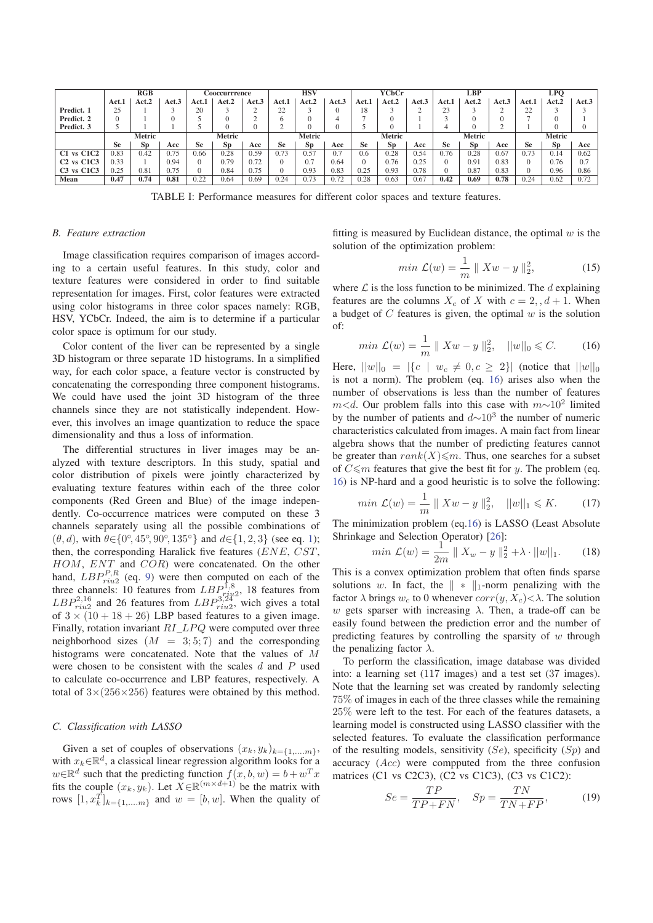|                | RGB       |           |       | <b>Cooccurrrence</b> |              |        | <b>HSV</b> |       |        | YCbCr     |           |        | LBP   |       |        | LPO       |       |       |
|----------------|-----------|-----------|-------|----------------------|--------------|--------|------------|-------|--------|-----------|-----------|--------|-------|-------|--------|-----------|-------|-------|
|                | Act.1     | Act.2     | Act.3 | Act.1                | <b>Act.2</b> | Act.3  | Act.1      | Act.2 | Act.3  | Act.1     | Act.2     | Act.3  | Act.1 | Act.2 | Act.3  | Act.1     | Act.2 | Act.3 |
| Predict. 1     | 25        |           |       | 20                   |              |        | $\cap$     |       |        | 18        |           |        | 23    |       |        | 22        |       |       |
| Predict. 2     |           |           |       |                      |              |        |            |       |        |           | 0         |        |       |       |        |           |       |       |
| Predict. 3     |           |           |       |                      |              |        |            |       |        |           |           |        |       |       |        |           |       |       |
|                | Metric    |           |       | Metric               |              | Metric |            |       | Metric |           |           | Metric |       |       | Metric |           |       |       |
|                | <b>Se</b> | <b>Sp</b> | Acc   | Se                   | <b>Sp</b>    | Acc    | <b>Se</b>  | Sp    | Acc    | <b>Se</b> | <b>Sp</b> | Acc    | Se    | Sp    | Acc    | <b>Se</b> | Sp    | Acc   |
| $C1$ vs $C1C2$ | 0.83      | 0.42      | 0.75  | 0.66                 | 0.28         | 0.59   | 0.73       | J.57  | 0.7    | 0.6       | 0.28      | 0.54   | 0.76  | 0.28  | 0.67   | 0.73      | 0.14  | 0.62  |
| $C2$ vs $C1C3$ | 0.33      |           | 0.94  |                      | 0.79         | 0.72   |            | 0.7   | 0.64   |           | 0.76      | 0.25   | 0     | 0.91  | 0.83   | $\Omega$  | 0.76  |       |
| $C3$ vs $C1C3$ | 0.25      | 0.81      | 0.75  |                      | 0.84         | 0.75   |            | 0.93  | 0.83   | 0.25      | 0.93      | 0.78   | 0     | 0.87  | 0.83   |           | 0.96  | 0.86  |
| Mean           | 0.47      | 0.74      | 0.81  | 0.22                 | 0.64         | 0.69   | 0.24       | J.73  | 0.72   | 0.28      | 0.63      | 0.67   | 0.42  | 0.69  | 0.78   | 0.24      | 0.62  | 0.72  |

TABLE I: Performance measures for different color spaces and texture features.

#### *B. Feature extraction*

Image classification requires comparison of images according to a certain useful features. In this study, color and texture features were considered in order to find suitable representation for images. First, color features were extracted using color histograms in three color spaces namely: RGB, HSV, YCbCr. Indeed, the aim is to determine if a particular color space is optimum for our study.

Color content of the liver can be represented by a single 3D histogram or three separate 1D histograms. In a simplified way, for each color space, a feature vector is constructed by concatenating the corresponding three component histograms. We could have used the joint 3D histogram of the three channels since they are not statistically independent. However, this involves an image quantization to reduce the space dimensionality and thus a loss of information.

The differential structures in liver images may be analyzed with texture descriptors. In this study, spatial and color distribution of pixels were jointly characterized by evaluating texture features within each of the three color components (Red Green and Blue) of the image independently. Co-occurrence matrices were computed on these 3 channels separately using all the possible combinations of  $(\theta, d)$ , with  $\theta \in \{0^\circ, 45^\circ, 90^\circ, 135^\circ\}$  and  $d \in \{1, 2, 3\}$  (see eq. 1);<br>then the corresponding Haralick five features (*ENE CST*) then, the corresponding Haralick five features (ENE, CST, HOM, ENT and COR) were concatenated. On the other hand,  $LBP_{riu2}^{P,R}$  (eq. 9) were then computed on each of the three channels: 10 features from  $LBP_{riu2}^{1,8}$ , 18 features from  $LBP_{riu2}^{3,24}$ , wich gives a total  $LBP_{riu2}^{3,24}$ , wich gives a total of  $3 \times (10 + 18 + 26)$  LBP based features to a given image. Finally, rotation invariant  $RI\_LPQ$  were computed over three neighborhood sizes  $(M = 3, 5, 7)$  and the corresponding histograms were concatenated. Note that the values of M were chosen to be consistent with the scales  $d$  and  $P$  used to calculate co-occurrence and LBP features, respectively. A total of  $3\times(256\times256)$  features were obtained by this method.

#### *C. Classification with LASSO*

Given a set of couples of observations  $(x_k, y_k)_{k=\{1,...,m\}}$ , with  $x_k \in \mathbb{R}^d$ , a classical linear regression algorithm looks for a  $w \in \mathbb{R}^d$  such that the predicting function  $f(x, b, w) = b + w^T x$ fits the couple  $(x_k, y_k)$ . Let  $\overline{X} \in \mathbb{R}^{(m \times d+1)}$  be the matrix with rows  $[1, x_k^T]_{k=\{1,...,m\}}$  and  $w = [b, w]$ . When the quality of

fitting is measured by Euclidean distance, the optimal  $w$  is the solution of the optimization problem:

$$
min \mathcal{L}(w) = \frac{1}{m} \| Xw - y \|_2^2,
$$
 (15)

where  $\mathcal L$  is the loss function to be minimized. The  $d$  explaining features are the columns  $X_c$  of X with  $c = 2, d + 1$ . When a budget of  $C$  features is given, the optimal  $w$  is the solution of:

$$
min \mathcal{L}(w) = \frac{1}{m} || Xw - y ||_2^2, ||w||_0 \leq C. \quad (16)
$$

Here,  $||w||_0 = |\{c \mid w_c \neq 0, c \geq 2\}|$  (notice that  $||w||_0$ is not a norm). The problem (eq. 16) arises also when the number of observations is less than the number of features  $m$ <d. Our problem falls into this case with  $m \sim 10^2$  limited by the number of patients and  $d \sim 10^3$  the number of numeric characteristics calculated from images. A main fact from linear algebra shows that the number of predicting features cannot be greater than  $rank(X) \leq m$ . Thus, one searches for a subset of  $C \le m$  features that give the best fit for y. The problem (eq. 16) is NP-hard and a good heuristic is to solve the following:

$$
min \mathcal{L}(w) = \frac{1}{m} || Xw - y ||_2^2, ||w||_1 \le K.
$$
 (17)

The minimization problem (eq.16) is LASSO (Least Absolute Shrinkage and Selection Operator) [26]:

$$
\min \mathcal{L}(w) = \frac{1}{2m} ||X_w - y||_2^2 + \lambda \cdot ||w||_1.
$$
 (18)  
This is a convex optimization problem that often finds sparse

solutions w. In fact, the  $|| * ||_1$ -norm penalizing with the factor  $\lambda$  brings  $w_c$  to 0 whenever  $corr(y, X_c) < \lambda$ . The solution w gets sparser with increasing  $\lambda$ . Then, a trade-off can be easily found between the prediction error and the number of predicting features by controlling the sparsity of  $w$  through the penalizing factor  $\lambda$ .

To perform the classification, image database was divided into: a learning set (117 images) and a test set (37 images). Note that the learning set was created by randomly selecting 75% of images in each of the three classes while the remaining 25% were left to the test. For each of the features datasets, a learning model is constructed using LASSO classifier with the selected features. To evaluate the classification performance of the resulting models, sensitivity  $(Se)$ , specificity  $(S_p)$  and accuracy (Acc) were compputed from the three confusion matrices (C1 vs C2C3), (C2 vs C1C3), (C3 vs C1C2):

$$
Se = \frac{TP}{TP + FN}, \quad Sp = \frac{TN}{TN + FP}, \tag{19}
$$